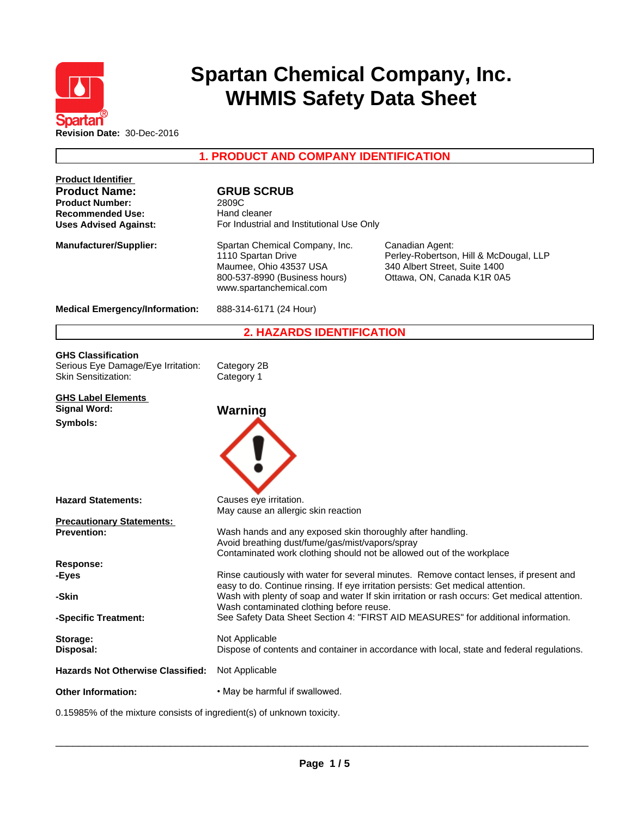

# **Spartan Chemical Company, Inc. WHMIS Safety Data Sheet**

**1. PRODUCT AND COMPANY IDENTIFICATION**

| <b>Product Identifier</b><br><b>Product Name:</b><br><b>Product Number:</b><br><b>Recommended Use:</b><br><b>Uses Advised Against:</b> | <b>GRUB SCRUB</b><br>2809C<br>Hand cleaner<br>For Industrial and Institutional Use Only                                                                                                                                      |                                                                                                                          |  |
|----------------------------------------------------------------------------------------------------------------------------------------|------------------------------------------------------------------------------------------------------------------------------------------------------------------------------------------------------------------------------|--------------------------------------------------------------------------------------------------------------------------|--|
| <b>Manufacturer/Supplier:</b>                                                                                                          | Spartan Chemical Company, Inc.<br>1110 Spartan Drive<br>Maumee, Ohio 43537 USA<br>800-537-8990 (Business hours)<br>www.spartanchemical.com                                                                                   | Canadian Agent:<br>Perley-Robertson, Hill & McDougal, LLP<br>340 Albert Street, Suite 1400<br>Ottawa, ON, Canada K1R 0A5 |  |
| <b>Medical Emergency/Information:</b>                                                                                                  | 888-314-6171 (24 Hour)                                                                                                                                                                                                       |                                                                                                                          |  |
|                                                                                                                                        | <b>2. HAZARDS IDENTIFICATION</b>                                                                                                                                                                                             |                                                                                                                          |  |
| <b>GHS Classification</b><br>Serious Eye Damage/Eye Irritation:<br><b>Skin Sensitization:</b>                                          | Category 2B<br>Category 1                                                                                                                                                                                                    |                                                                                                                          |  |
| <b>GHS Label Elements</b><br><b>Signal Word:</b>                                                                                       | Warning                                                                                                                                                                                                                      |                                                                                                                          |  |
| Symbols:                                                                                                                               |                                                                                                                                                                                                                              |                                                                                                                          |  |
| <b>Hazard Statements:</b>                                                                                                              | Causes eye irritation.<br>May cause an allergic skin reaction                                                                                                                                                                |                                                                                                                          |  |
| <b>Precautionary Statements:</b><br><b>Prevention:</b>                                                                                 | Wash hands and any exposed skin thoroughly after handling.<br>Avoid breathing dust/fume/gas/mist/vapors/spray<br>Contaminated work clothing should not be allowed out of the workplace                                       |                                                                                                                          |  |
| Response:                                                                                                                              |                                                                                                                                                                                                                              |                                                                                                                          |  |
| -Eyes                                                                                                                                  |                                                                                                                                                                                                                              | Rinse cautiously with water for several minutes. Remove contact lenses, if present and                                   |  |
| -Skin                                                                                                                                  | easy to do. Continue rinsing. If eye irritation persists: Get medical attention.<br>Wash with plenty of soap and water If skin irritation or rash occurs: Get medical attention.<br>Wash contaminated clothing before reuse. |                                                                                                                          |  |
| -Specific Treatment:                                                                                                                   |                                                                                                                                                                                                                              | See Safety Data Sheet Section 4: "FIRST AID MEASURES" for additional information.                                        |  |
| Storage:<br>Disposal:                                                                                                                  | Not Applicable                                                                                                                                                                                                               | Dispose of contents and container in accordance with local, state and federal regulations.                               |  |
| <b>Hazards Not Otherwise Classified:</b>                                                                                               | Not Applicable                                                                                                                                                                                                               |                                                                                                                          |  |
| <b>Other Information:</b>                                                                                                              | . May be harmful if swallowed.                                                                                                                                                                                               |                                                                                                                          |  |
| 0.15985% of the mixture consists of ingredient(s) of unknown toxicity.                                                                 |                                                                                                                                                                                                                              |                                                                                                                          |  |

 $\overline{\phantom{a}}$  ,  $\overline{\phantom{a}}$  ,  $\overline{\phantom{a}}$  ,  $\overline{\phantom{a}}$  ,  $\overline{\phantom{a}}$  ,  $\overline{\phantom{a}}$  ,  $\overline{\phantom{a}}$  ,  $\overline{\phantom{a}}$  ,  $\overline{\phantom{a}}$  ,  $\overline{\phantom{a}}$  ,  $\overline{\phantom{a}}$  ,  $\overline{\phantom{a}}$  ,  $\overline{\phantom{a}}$  ,  $\overline{\phantom{a}}$  ,  $\overline{\phantom{a}}$  ,  $\overline{\phantom{a}}$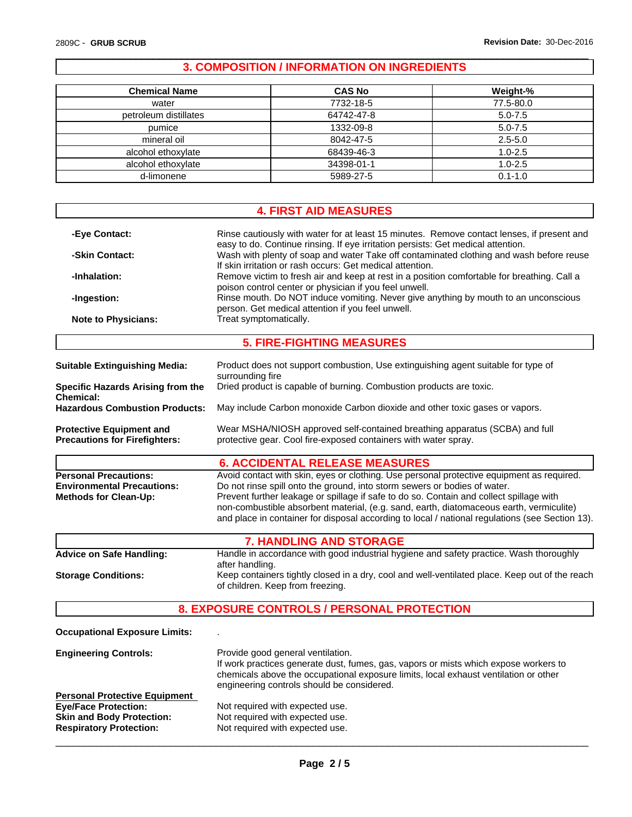# **3. COMPOSITION / INFORMATION ON INGREDIENTS**

 $\overline{\phantom{a}}$  ,  $\overline{\phantom{a}}$  ,  $\overline{\phantom{a}}$  ,  $\overline{\phantom{a}}$  ,  $\overline{\phantom{a}}$  ,  $\overline{\phantom{a}}$  ,  $\overline{\phantom{a}}$  ,  $\overline{\phantom{a}}$  ,  $\overline{\phantom{a}}$  ,  $\overline{\phantom{a}}$  ,  $\overline{\phantom{a}}$  ,  $\overline{\phantom{a}}$  ,  $\overline{\phantom{a}}$  ,  $\overline{\phantom{a}}$  ,  $\overline{\phantom{a}}$  ,  $\overline{\phantom{a}}$ 

| <b>Chemical Name</b>  | <b>CAS No</b> | Weight-%    |
|-----------------------|---------------|-------------|
| water                 | 7732-18-5     | 77.5-80.0   |
| petroleum distillates | 64742-47-8    | $5.0 - 7.5$ |
| pumice                | 1332-09-8     | $5.0 - 7.5$ |
| mineral oil           | 8042-47-5     | $2.5 - 5.0$ |
| alcohol ethoxylate    | 68439-46-3    | $1.0 - 2.5$ |
| alcohol ethoxylate    | 34398-01-1    | $1.0 - 2.5$ |
| d-limonene            | 5989-27-5     | $0.1 - 1.0$ |

|                                                                                                                                           | <b>4. FIRST AID MEASURES</b>                                                                                                                                                                                                                                                                                                                                                                                                                                    |
|-------------------------------------------------------------------------------------------------------------------------------------------|-----------------------------------------------------------------------------------------------------------------------------------------------------------------------------------------------------------------------------------------------------------------------------------------------------------------------------------------------------------------------------------------------------------------------------------------------------------------|
| -Eye Contact:                                                                                                                             | Rinse cautiously with water for at least 15 minutes. Remove contact lenses, if present and<br>easy to do. Continue rinsing. If eye irritation persists: Get medical attention.                                                                                                                                                                                                                                                                                  |
| -Skin Contact:                                                                                                                            | Wash with plenty of soap and water Take off contaminated clothing and wash before reuse<br>If skin irritation or rash occurs: Get medical attention.                                                                                                                                                                                                                                                                                                            |
| -Inhalation:                                                                                                                              | Remove victim to fresh air and keep at rest in a position comfortable for breathing. Call a<br>poison control center or physician if you feel unwell.                                                                                                                                                                                                                                                                                                           |
| -Ingestion:                                                                                                                               | Rinse mouth. Do NOT induce vomiting. Never give anything by mouth to an unconscious<br>person. Get medical attention if you feel unwell.                                                                                                                                                                                                                                                                                                                        |
| <b>Note to Physicians:</b>                                                                                                                | Treat symptomatically.                                                                                                                                                                                                                                                                                                                                                                                                                                          |
|                                                                                                                                           | <b>5. FIRE-FIGHTING MEASURES</b>                                                                                                                                                                                                                                                                                                                                                                                                                                |
| <b>Suitable Extinguishing Media:</b>                                                                                                      | Product does not support combustion, Use extinguishing agent suitable for type of<br>surrounding fire                                                                                                                                                                                                                                                                                                                                                           |
| Specific Hazards Arising from the<br><b>Chemical:</b>                                                                                     | Dried product is capable of burning. Combustion products are toxic.                                                                                                                                                                                                                                                                                                                                                                                             |
| <b>Hazardous Combustion Products:</b>                                                                                                     | May include Carbon monoxide Carbon dioxide and other toxic gases or vapors.                                                                                                                                                                                                                                                                                                                                                                                     |
| <b>Protective Equipment and</b><br><b>Precautions for Firefighters:</b>                                                                   | Wear MSHA/NIOSH approved self-contained breathing apparatus (SCBA) and full<br>protective gear. Cool fire-exposed containers with water spray.                                                                                                                                                                                                                                                                                                                  |
|                                                                                                                                           | <b>6. ACCIDENTAL RELEASE MEASURES</b>                                                                                                                                                                                                                                                                                                                                                                                                                           |
| <b>Personal Precautions:</b><br><b>Environmental Precautions:</b><br><b>Methods for Clean-Up:</b>                                         | Avoid contact with skin, eyes or clothing. Use personal protective equipment as required.<br>Do not rinse spill onto the ground, into storm sewers or bodies of water.<br>Prevent further leakage or spillage if safe to do so. Contain and collect spillage with<br>non-combustible absorbent material, (e.g. sand, earth, diatomaceous earth, vermiculite)<br>and place in container for disposal according to local / national regulations (see Section 13). |
|                                                                                                                                           | <b>7. HANDLING AND STORAGE</b>                                                                                                                                                                                                                                                                                                                                                                                                                                  |
| <b>Advice on Safe Handling:</b>                                                                                                           | Handle in accordance with good industrial hygiene and safety practice. Wash thoroughly<br>after handling.                                                                                                                                                                                                                                                                                                                                                       |
| <b>Storage Conditions:</b>                                                                                                                | Keep containers tightly closed in a dry, cool and well-ventilated place. Keep out of the reach<br>of children. Keep from freezing.                                                                                                                                                                                                                                                                                                                              |
|                                                                                                                                           | 8. EXPOSURE CONTROLS / PERSONAL PROTECTION                                                                                                                                                                                                                                                                                                                                                                                                                      |
| <b>Occupational Exposure Limits:</b>                                                                                                      |                                                                                                                                                                                                                                                                                                                                                                                                                                                                 |
| <b>Engineering Controls:</b>                                                                                                              | Provide good general ventilation.<br>If work practices generate dust, fumes, gas, vapors or mists which expose workers to<br>chemicals above the occupational exposure limits, local exhaust ventilation or other<br>engineering controls should be considered.                                                                                                                                                                                                 |
| <b>Personal Protective Equipment</b><br><b>Eye/Face Protection:</b><br><b>Skin and Body Protection:</b><br><b>Respiratory Protection:</b> | Not required with expected use.<br>Not required with expected use.<br>Not required with expected use.                                                                                                                                                                                                                                                                                                                                                           |

 $\overline{\phantom{a}}$  ,  $\overline{\phantom{a}}$  ,  $\overline{\phantom{a}}$  ,  $\overline{\phantom{a}}$  ,  $\overline{\phantom{a}}$  ,  $\overline{\phantom{a}}$  ,  $\overline{\phantom{a}}$  ,  $\overline{\phantom{a}}$  ,  $\overline{\phantom{a}}$  ,  $\overline{\phantom{a}}$  ,  $\overline{\phantom{a}}$  ,  $\overline{\phantom{a}}$  ,  $\overline{\phantom{a}}$  ,  $\overline{\phantom{a}}$  ,  $\overline{\phantom{a}}$  ,  $\overline{\phantom{a}}$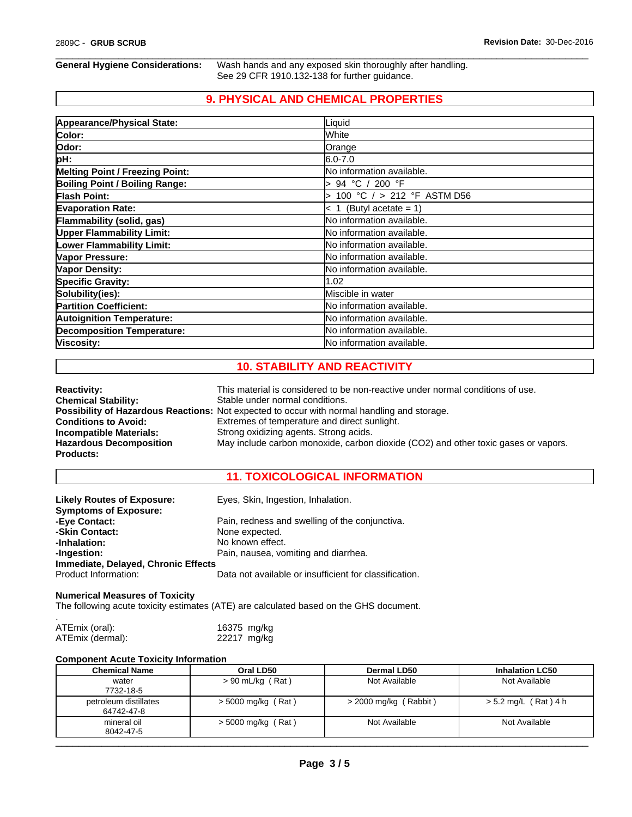**General Hygiene Considerations:** Wash hands and any exposed skin thoroughly after handling. See 29 CFR 1910.132-138 for further guidance.

 $\overline{\phantom{a}}$  ,  $\overline{\phantom{a}}$  ,  $\overline{\phantom{a}}$  ,  $\overline{\phantom{a}}$  ,  $\overline{\phantom{a}}$  ,  $\overline{\phantom{a}}$  ,  $\overline{\phantom{a}}$  ,  $\overline{\phantom{a}}$  ,  $\overline{\phantom{a}}$  ,  $\overline{\phantom{a}}$  ,  $\overline{\phantom{a}}$  ,  $\overline{\phantom{a}}$  ,  $\overline{\phantom{a}}$  ,  $\overline{\phantom{a}}$  ,  $\overline{\phantom{a}}$  ,  $\overline{\phantom{a}}$ 

# **9. PHYSICAL AND CHEMICAL PROPERTIES**

| Appearance/Physical State:             | Liquid                     |
|----------------------------------------|----------------------------|
| Color:                                 | White                      |
| Odor:                                  | Orange                     |
| pH:                                    | $6.0 - 7.0$                |
| <b>Melting Point / Freezing Point:</b> | No information available.  |
| <b>Boiling Point / Boiling Range:</b>  | 94 °C / 200 °F             |
| <b>Flash Point:</b>                    | 100 °C / > 212 °F ASTM D56 |
| <b>Evaporation Rate:</b>               | $< 1$ (Butyl acetate = 1)  |
| Flammability (solid, gas)              | No information available.  |
| <b>Upper Flammability Limit:</b>       | No information available.  |
| <b>Lower Flammability Limit:</b>       | No information available.  |
| Vapor Pressure:                        | No information available.  |
| Vapor Density:                         | No information available.  |
| <b>Specific Gravity:</b>               | 1.02                       |
| Solubility(ies):                       | Miscible in water          |
| <b>Partition Coefficient:</b>          | No information available.  |
| <b>Autoignition Temperature:</b>       | No information available.  |
| <b>Decomposition Temperature:</b>      | No information available.  |
| Viscosity:                             | No information available.  |

# **10. STABILITY AND REACTIVITY**

| <b>Reactivity:</b>             | This material is considered to be non-reactive under normal conditions of use.                     |
|--------------------------------|----------------------------------------------------------------------------------------------------|
| <b>Chemical Stability:</b>     | Stable under normal conditions.                                                                    |
|                                | <b>Possibility of Hazardous Reactions:</b> Not expected to occur with normal handling and storage. |
| <b>Conditions to Avoid:</b>    | Extremes of temperature and direct sunlight.                                                       |
| <b>Incompatible Materials:</b> | Strong oxidizing agents. Strong acids.                                                             |
| <b>Hazardous Decomposition</b> | May include carbon monoxide, carbon dioxide (CO2) and other toxic gases or vapors.                 |
| <b>Products:</b>               |                                                                                                    |

# **11. TOXICOLOGICAL INFORMATION**

| <b>Likely Routes of Exposure:</b>   | Eyes, Skin, Ingestion, Inhalation.                     |
|-------------------------------------|--------------------------------------------------------|
| <b>Symptoms of Exposure:</b>        |                                                        |
| -Eye Contact:                       | Pain, redness and swelling of the conjunctiva.         |
| -Skin Contact:                      | None expected.                                         |
| -Inhalation:                        | No known effect.                                       |
| -Ingestion:                         | Pain, nausea, vomiting and diarrhea.                   |
| Immediate, Delayed, Chronic Effects |                                                        |
| Product Information:                | Data not available or insufficient for classification. |

### **Numerical Measures of Toxicity**

The following acute toxicity estimates (ATE) are calculated based on the GHS document.

| ATEmix (oral):   | 16375 mg/kg |  |
|------------------|-------------|--|
| ATEmix (dermal): | 22217 mg/kg |  |

#### **Component Acute Toxicity Information**

| <b>Chemical Name</b>                | Oral LD50            | Dermal LD50             | <b>Inhalation LC50</b> |
|-------------------------------------|----------------------|-------------------------|------------------------|
| water<br>7732-18-5                  | $> 90$ mL/kg (Rat)   | Not Available           | Not Available          |
| petroleum distillates<br>64742-47-8 | $>$ 5000 mg/kg (Rat) | $>$ 2000 mg/kg (Rabbit) | $> 5.2$ mg/L (Rat) 4 h |
| mineral oil<br>8042-47-5            | $>$ 5000 mg/kg (Rat) | Not Available           | Not Available          |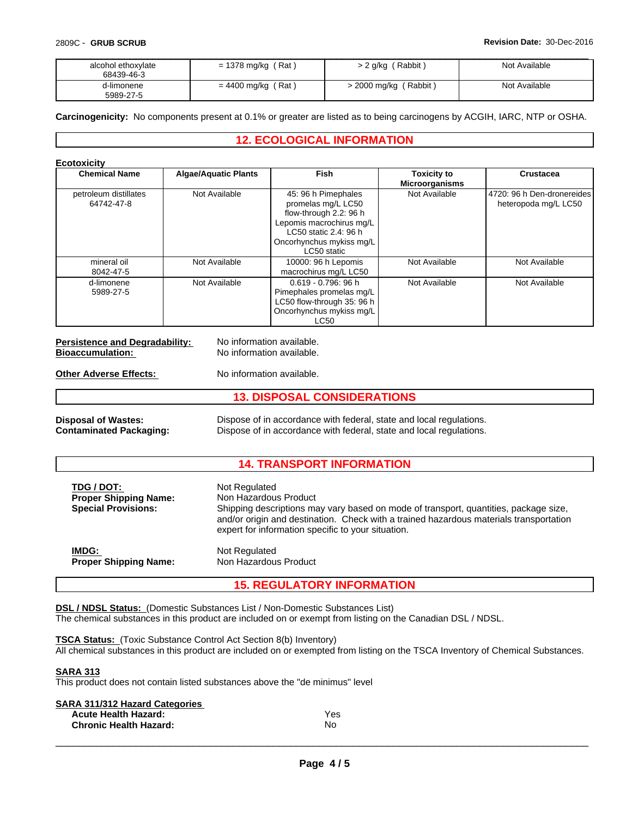| alcohol ethoxylate<br>68439-46-3 | $= 1378$ mg/kg (Rat) | (Rabbit)<br>$-2$ g/kg $\sqrt{ }$ | Not Available |
|----------------------------------|----------------------|----------------------------------|---------------|
| d-limonene<br>5989-27-5          | $= 4400$ mg/kg (Rat) | > 2000 mg/kg (Rabbit)            | Not Available |

**Carcinogenicity:** No components present at 0.1% or greater are listed as to being carcinogens by ACGIH, IARC, NTP or OSHA.

## **12. ECOLOGICAL INFORMATION**

#### **Ecotoxicity**

| <b>Chemical Name</b>                | <b>Algae/Aquatic Plants</b> | <b>Fish</b>                                                                                                                                                         | <b>Toxicity to</b><br><b>Microorganisms</b> | Crustacea                                          |
|-------------------------------------|-----------------------------|---------------------------------------------------------------------------------------------------------------------------------------------------------------------|---------------------------------------------|----------------------------------------------------|
| petroleum distillates<br>64742-47-8 | Not Available               | 45: 96 h Pimephales<br>promelas mg/L LC50<br>flow-through 2.2: 96 h<br>Lepomis macrochirus mg/L<br>LC50 static 2.4: 96 h<br>Oncorhynchus mykiss mg/L<br>LC50 static | Not Available                               | 4720: 96 h Den-dronereides<br>heteropoda mg/L LC50 |
| mineral oil<br>8042-47-5            | Not Available               | 10000: 96 h Lepomis<br>macrochirus mg/L LC50                                                                                                                        | Not Available                               | Not Available                                      |
| d-limonene<br>5989-27-5             | Not Available               | $0.619 - 0.796$ : 96 h<br>Pimephales promelas mg/L<br>LC50 flow-through 35: 96 h<br>Oncorhynchus mykiss mg/L<br><b>LC50</b>                                         | Not Available                               | Not Available                                      |

| <b>Persistence and Degradability:</b> | No information available. |
|---------------------------------------|---------------------------|
| <b>Bioaccumulation:</b>               | No information available. |
|                                       |                           |

**Other Adverse Effects:** No information available.

| <b>13. DISPOSAL CONSIDERATIONS</b> |                                                                     |  |  |
|------------------------------------|---------------------------------------------------------------------|--|--|
| <b>Disposal of Wastes:</b>         | Dispose of in accordance with federal, state and local regulations. |  |  |

**Contaminated Packaging:** Dispose of in accordance with federal, state and local regulations.

#### **14. TRANSPORT INFORMATION**

| TDG / DOT:<br><b>Proper Shipping Name:</b><br><b>Special Provisions:</b> | Not Regulated<br>Non Hazardous Product<br>Shipping descriptions may vary based on mode of transport, quantities, package size,<br>and/or origin and destination. Check with a trained hazardous materials transportation<br>expert for information specific to your situation. |
|--------------------------------------------------------------------------|--------------------------------------------------------------------------------------------------------------------------------------------------------------------------------------------------------------------------------------------------------------------------------|
| IMDG:                                                                    | Not Regulated                                                                                                                                                                                                                                                                  |
| <b>Proper Shipping Name:</b>                                             | Non Hazardous Product                                                                                                                                                                                                                                                          |

### **15. REGULATORY INFORMATION**

**DSL / NDSL Status:** (Domestic Substances List / Non-Domestic Substances List) The chemical substances in this product are included on or exempt from listing on the Canadian DSL / NDSL.

**TSCA Status:** (Toxic Substance Control Act Section 8(b) Inventory)

All chemical substances in this product are included on or exempted from listing on the TSCA Inventory of Chemical Substances.

#### **SARA 313**

This product does not contain listed substances above the "de minimus" level

| SARA 311/312 Hazard Categories |     |
|--------------------------------|-----|
| <b>Acute Health Hazard:</b>    | Yes |
| <b>Chronic Health Hazard:</b>  | No  |

 $\overline{\phantom{a}}$  ,  $\overline{\phantom{a}}$  ,  $\overline{\phantom{a}}$  ,  $\overline{\phantom{a}}$  ,  $\overline{\phantom{a}}$  ,  $\overline{\phantom{a}}$  ,  $\overline{\phantom{a}}$  ,  $\overline{\phantom{a}}$  ,  $\overline{\phantom{a}}$  ,  $\overline{\phantom{a}}$  ,  $\overline{\phantom{a}}$  ,  $\overline{\phantom{a}}$  ,  $\overline{\phantom{a}}$  ,  $\overline{\phantom{a}}$  ,  $\overline{\phantom{a}}$  ,  $\overline{\phantom{a}}$